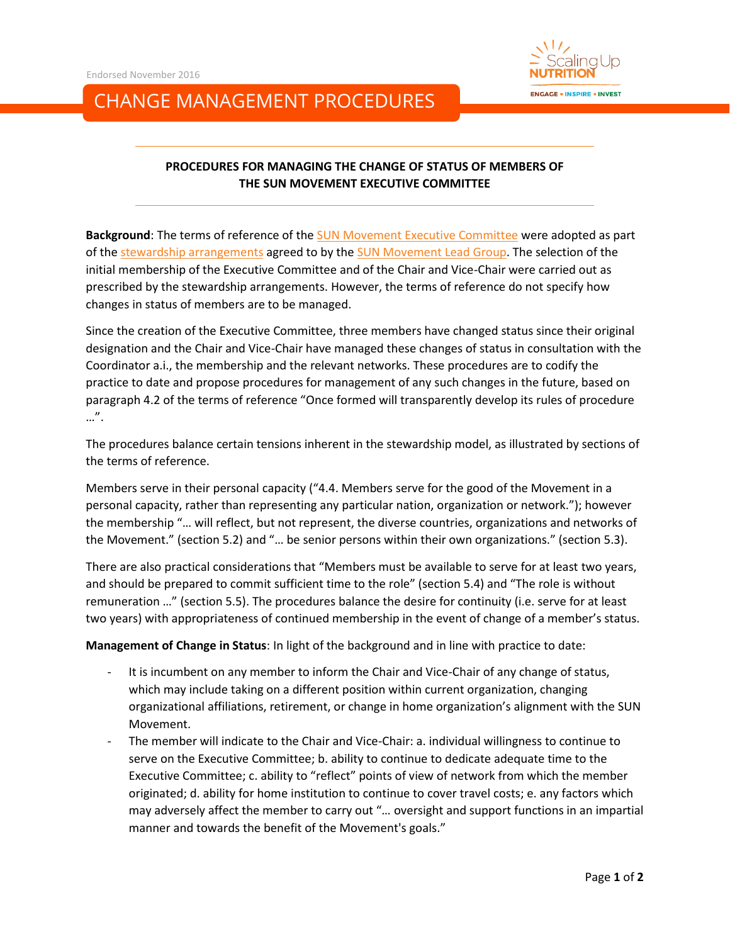

## CHANGE MANAGEMENT PROCEDURES

## **PROCEDURES FOR MANAGING THE CHANGE OF STATUS OF MEMBERS OF THE SUN MOVEMENT EXECUTIVE COMMITTEE**

**Background**: The terms of reference of the SUN Movement [Executive Committee](http://scalingupnutrition.org/sun-supporters/sun-movement-executive-committee/) were adopted as part of the [stewardship arrangements](http://scalingupnutrition.org/about-sun/stewardship-arrangements/) agreed to by th[e SUN Movement Lead Group.](http://scalingupnutrition.org/sun-supporters/sun-movement-lead-group/) The selection of the initial membership of the Executive Committee and of the Chair and Vice-Chair were carried out as prescribed by the stewardship arrangements. However, the terms of reference do not specify how changes in status of members are to be managed.

Since the creation of the Executive Committee, three members have changed status since their original designation and the Chair and Vice-Chair have managed these changes of status in consultation with the Coordinator a.i., the membership and the relevant networks. These procedures are to codify the practice to date and propose procedures for management of any such changes in the future, based on paragraph 4.2 of the terms of reference "Once formed will transparently develop its rules of procedure …".

The procedures balance certain tensions inherent in the stewardship model, as illustrated by sections of the terms of reference.

Members serve in their personal capacity ("4.4. Members serve for the good of the Movement in a personal capacity, rather than representing any particular nation, organization or network."); however the membership "… will reflect, but not represent, the diverse countries, organizations and networks of the Movement." (section 5.2) and "… be senior persons within their own organizations." (section 5.3).

There are also practical considerations that "Members must be available to serve for at least two years, and should be prepared to commit sufficient time to the role" (section 5.4) and "The role is without remuneration …" (section 5.5). The procedures balance the desire for continuity (i.e. serve for at least two years) with appropriateness of continued membership in the event of change of a member's status.

**Management of Change in Status**: In light of the background and in line with practice to date:

- It is incumbent on any member to inform the Chair and Vice-Chair of any change of status, which may include taking on a different position within current organization, changing organizational affiliations, retirement, or change in home organization's alignment with the SUN Movement.
- The member will indicate to the Chair and Vice-Chair: a. individual willingness to continue to serve on the Executive Committee; b. ability to continue to dedicate adequate time to the Executive Committee; c. ability to "reflect" points of view of network from which the member originated; d. ability for home institution to continue to cover travel costs; e. any factors which may adversely affect the member to carry out "… oversight and support functions in an impartial manner and towards the benefit of the Movement's goals."